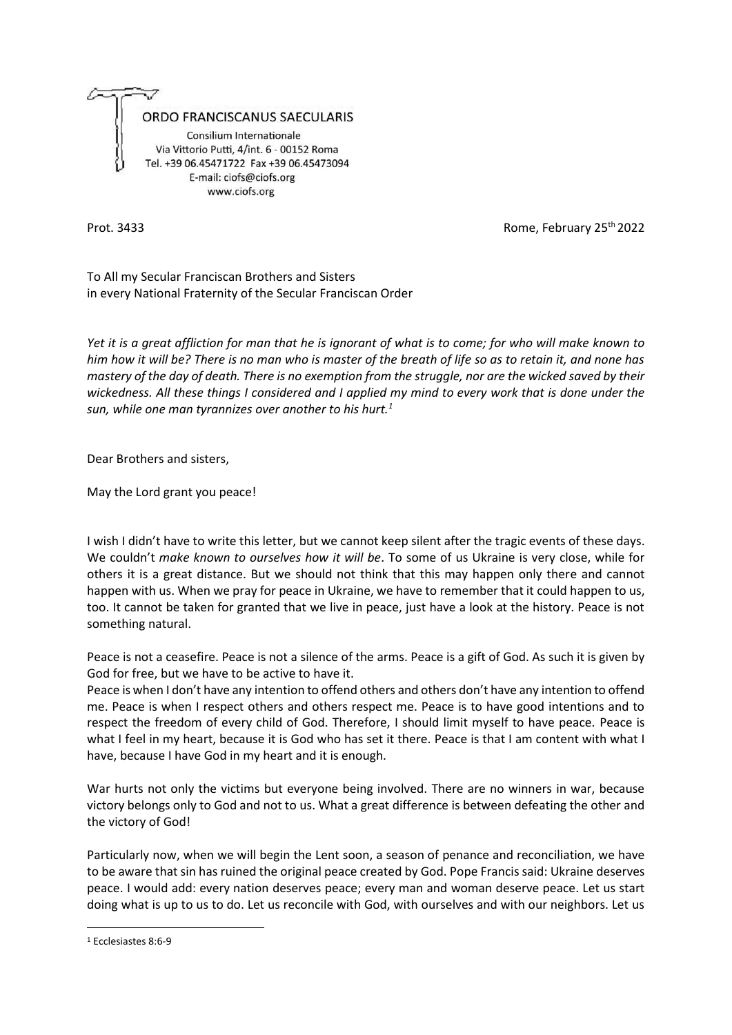

Prot. 3433 **Rome, February 25th 2022** 

To All my Secular Franciscan Brothers and Sisters in every National Fraternity of the Secular Franciscan Order

*Yet it is a great affliction for man that he is ignorant of what is to come; for who will make known to him how it will be? There is no man who is master of the breath of life so as to retain it, and none has mastery of the day of death. There is no exemption from the struggle, nor are the wicked saved by their wickedness. All these things I considered and I applied my mind to every work that is done under the sun, while one man tyrannizes over another to his hurt.<sup>1</sup>*

Dear Brothers and sisters,

May the Lord grant you peace!

I wish I didn't have to write this letter, but we cannot keep silent after the tragic events of these days. We couldn't *make known to ourselves how it will be*. To some of us Ukraine is very close, while for others it is a great distance. But we should not think that this may happen only there and cannot happen with us. When we pray for peace in Ukraine, we have to remember that it could happen to us, too. It cannot be taken for granted that we live in peace, just have a look at the history. Peace is not something natural.

Peace is not a ceasefire. Peace is not a silence of the arms. Peace is a gift of God. As such it is given by God for free, but we have to be active to have it.

Peace is when I don't have any intention to offend others and others don't have any intention to offend me. Peace is when I respect others and others respect me. Peace is to have good intentions and to respect the freedom of every child of God. Therefore, I should limit myself to have peace. Peace is what I feel in my heart, because it is God who has set it there. Peace is that I am content with what I have, because I have God in my heart and it is enough.

War hurts not only the victims but everyone being involved. There are no winners in war, because victory belongs only to God and not to us. What a great difference is between defeating the other and the victory of God!

Particularly now, when we will begin the Lent soon, a season of penance and reconciliation, we have to be aware that sin has ruined the original peace created by God. Pope Francis said: Ukraine deserves peace. I would add: every nation deserves peace; every man and woman deserve peace. Let us start doing what is up to us to do. Let us reconcile with God, with ourselves and with our neighbors. Let us

 $\overline{a}$ <sup>1</sup> Ecclesiastes 8:6-9